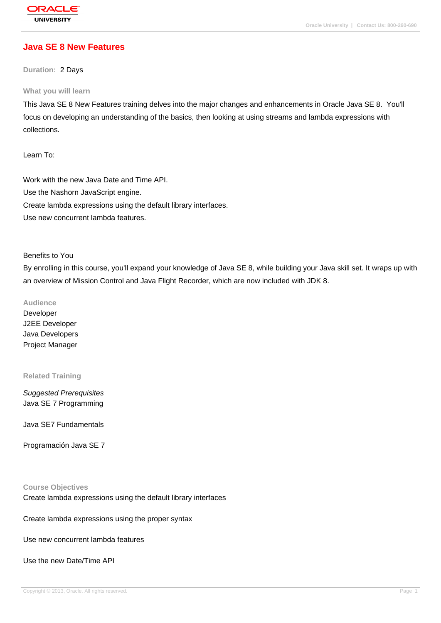# **[Java SE 8 New](http://education.oracle.com/pls/web_prod-plq-dad/db_pages.getpage?page_id=3) Features**

**Duration:** 2 Days

#### **What you will learn**

This Java SE 8 New Features training delves into the major changes and enhancements in Oracle Java SE 8. You'll focus on developing an understanding of the basics, then looking at using streams and lambda expressions with collections.

Learn To:

Work with the new Java Date and Time API. Use the Nashorn JavaScript engine. Create lambda expressions using the default library interfaces. Use new concurrent lambda features.

#### Benefits to You

By enrolling in this course, you'll expand your knowledge of Java SE 8, while building your Java skill set. It wraps up with an overview of Mission Control and Java Flight Recorder, which are now included with JDK 8.

**Audience**

Developer J2EE Developer Java Developers Project Manager

#### **Related Training**

Suggested Prerequisites Java SE 7 Programming

Java SE7 Fundamentals

Programación Java SE 7

#### **Course Objectives**

Create lambda expressions using the default library interfaces

Create lambda expressions using the proper syntax

Use new concurrent lambda features

Use the new Date/Time API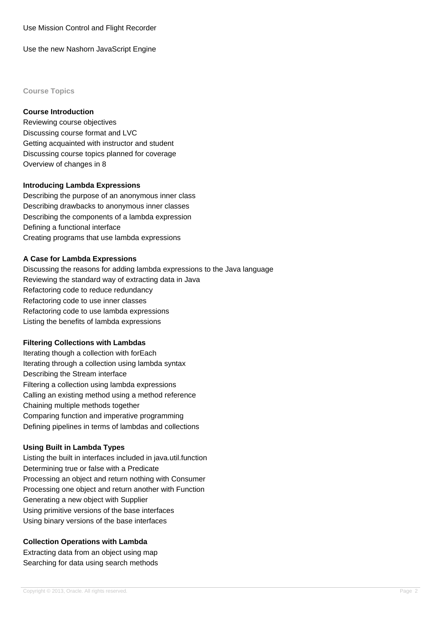Use Mission Control and Flight Recorder

Use the new Nashorn JavaScript Engine

**Course Topics**

#### **Course Introduction**

Reviewing course objectives Discussing course format and LVC Getting acquainted with instructor and student Discussing course topics planned for coverage Overview of changes in 8

#### **Introducing Lambda Expressions**

Describing the purpose of an anonymous inner class Describing drawbacks to anonymous inner classes Describing the components of a lambda expression Defining a functional interface Creating programs that use lambda expressions

#### **A Case for Lambda Expressions**

Discussing the reasons for adding lambda expressions to the Java language Reviewing the standard way of extracting data in Java Refactoring code to reduce redundancy Refactoring code to use inner classes Refactoring code to use lambda expressions Listing the benefits of lambda expressions

### **Filtering Collections with Lambdas**

Iterating though a collection with forEach Iterating through a collection using lambda syntax Describing the Stream interface Filtering a collection using lambda expressions Calling an existing method using a method reference Chaining multiple methods together Comparing function and imperative programming Defining pipelines in terms of lambdas and collections

### **Using Built in Lambda Types**

Listing the built in interfaces included in java.util.function Determining true or false with a Predicate Processing an object and return nothing with Consumer Processing one object and return another with Function Generating a new object with Supplier Using primitive versions of the base interfaces Using binary versions of the base interfaces

### **Collection Operations with Lambda**

Extracting data from an object using map Searching for data using search methods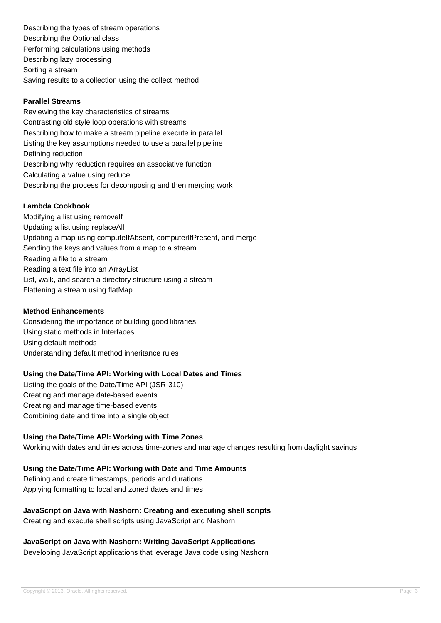Describing the types of stream operations Describing the Optional class Performing calculations using methods Describing lazy processing Sorting a stream Saving results to a collection using the collect method

#### **Parallel Streams**

Reviewing the key characteristics of streams Contrasting old style loop operations with streams Describing how to make a stream pipeline execute in parallel Listing the key assumptions needed to use a parallel pipeline Defining reduction Describing why reduction requires an associative function Calculating a value using reduce Describing the process for decomposing and then merging work

#### **Lambda Cookbook**

Modifying a list using removeIf Updating a list using replaceAll Updating a map using computeIfAbsent, computerIfPresent, and merge Sending the keys and values from a map to a stream Reading a file to a stream Reading a text file into an ArrayList List, walk, and search a directory structure using a stream Flattening a stream using flatMap

#### **Method Enhancements**

Considering the importance of building good libraries Using static methods in Interfaces Using default methods Understanding default method inheritance rules

#### **Using the Date/Time API: Working with Local Dates and Times**

Listing the goals of the Date/Time API (JSR-310) Creating and manage date-based events Creating and manage time-based events Combining date and time into a single object

#### **Using the Date/Time API: Working with Time Zones**

Working with dates and times across time-zones and manage changes resulting from daylight savings

#### **Using the Date/Time API: Working with Date and Time Amounts**

Defining and create timestamps, periods and durations Applying formatting to local and zoned dates and times

# **JavaScript on Java with Nashorn: Creating and executing shell scripts**

Creating and execute shell scripts using JavaScript and Nashorn

#### **JavaScript on Java with Nashorn: Writing JavaScript Applications**

Developing JavaScript applications that leverage Java code using Nashorn